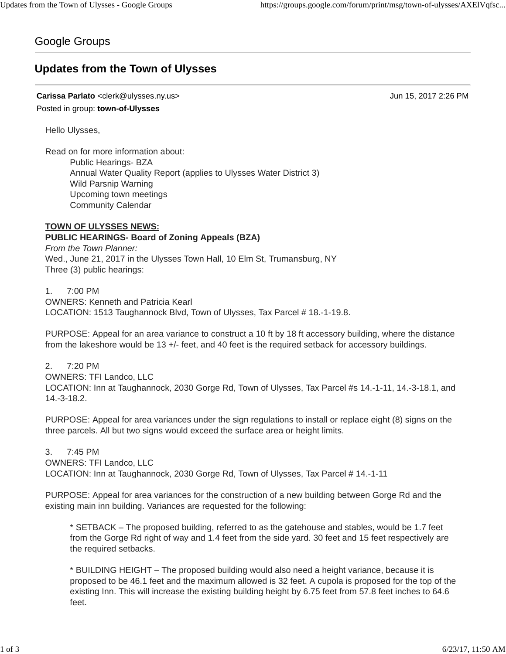# Google Groups

# **Updates from the Town of Ulysses**

**Carissa Parlato** <clerk@ulysses.ny.us> Jun 15, 2017 2:26 PM Posted in group: **town-of-Ulysses**

Hello Ulysses,

Read on for more information about: Public Hearings- BZA Annual Water Quality Report (applies to Ulysses Water District 3) Wild Parsnip Warning Upcoming town meetings Community Calendar

# **TOWN OF ULYSSES NEWS: PUBLIC HEARINGS- Board of Zoning Appeals (BZA)**

*From the Town Planner:* Wed., June 21, 2017 in the Ulysses Town Hall, 10 Elm St, Trumansburg, NY Three (3) public hearings:

1. 7:00 PM

OWNERS: Kenneth and Patricia Kearl LOCATION: 1513 Taughannock Blvd, Town of Ulysses, Tax Parcel # 18.-1-19.8.

PURPOSE: Appeal for an area variance to construct a 10 ft by 18 ft accessory building, where the distance from the lakeshore would be 13 +/- feet, and 40 feet is the required setback for accessory buildings.

2. 7:20 PM OWNERS: TFI Landco, LLC LOCATION: Inn at Taughannock, 2030 Gorge Rd, Town of Ulysses, Tax Parcel #s 14.-1-11, 14.-3-18.1, and 14.-3-18.2.

PURPOSE: Appeal for area variances under the sign regulations to install or replace eight (8) signs on the three parcels. All but two signs would exceed the surface area or height limits.

3. 7:45 PM OWNERS: TFI Landco, LLC LOCATION: Inn at Taughannock, 2030 Gorge Rd, Town of Ulysses, Tax Parcel # 14.-1-11

PURPOSE: Appeal for area variances for the construction of a new building between Gorge Rd and the existing main inn building. Variances are requested for the following:

\* SETBACK – The proposed building, referred to as the gatehouse and stables, would be 1.7 feet from the Gorge Rd right of way and 1.4 feet from the side yard. 30 feet and 15 feet respectively are the required setbacks.

\* BUILDING HEIGHT – The proposed building would also need a height variance, because it is proposed to be 46.1 feet and the maximum allowed is 32 feet. A cupola is proposed for the top of the existing Inn. This will increase the existing building height by 6.75 feet from 57.8 feet inches to 64.6 feet.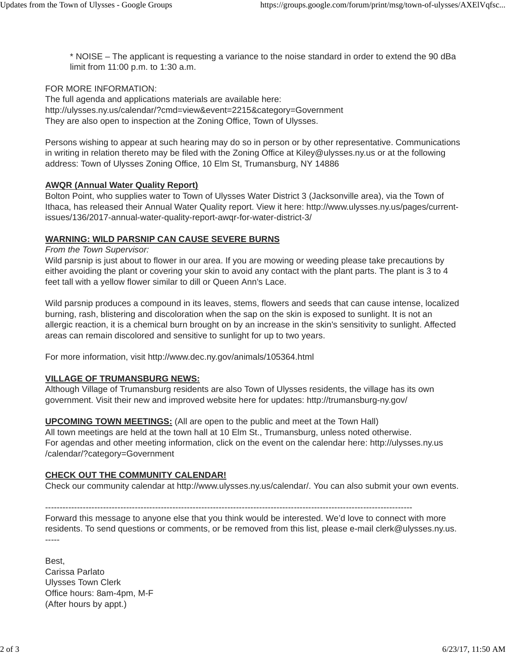\* NOISE – The applicant is requesting a variance to the noise standard in order to extend the 90 dBa limit from 11:00 p.m. to 1:30 a.m.

# FOR MORE INFORMATION:

The full agenda and applications materials are available here: http://ulysses.ny.us/calendar/?cmd=view&event=2215&category=Government They are also open to inspection at the Zoning Office, Town of Ulysses.

Persons wishing to appear at such hearing may do so in person or by other representative. Communications in writing in relation thereto may be filed with the Zoning Office at Kiley@ulysses.ny.us or at the following address: Town of Ulysses Zoning Office, 10 Elm St, Trumansburg, NY 14886

## **AWQR (Annual Water Quality Report)**

Bolton Point, who supplies water to Town of Ulysses Water District 3 (Jacksonville area), via the Town of Ithaca, has released their Annual Water Quality report. View it here: http://www.ulysses.ny.us/pages/currentissues/136/2017-annual-water-quality-report-awqr-for-water-district-3/

# **WARNING: WILD PARSNIP CAN CAUSE SEVERE BURNS**

#### *From the Town Supervisor:*

Wild parsnip is just about to flower in our area. If you are mowing or weeding please take precautions by either avoiding the plant or covering your skin to avoid any contact with the plant parts. The plant is 3 to 4 feet tall with a yellow flower similar to dill or Queen Ann's Lace.

Wild parsnip produces a compound in its leaves, stems, flowers and seeds that can cause intense, localized burning, rash, blistering and discoloration when the sap on the skin is exposed to sunlight. It is not an allergic reaction, it is a chemical burn brought on by an increase in the skin's sensitivity to sunlight. Affected areas can remain discolored and sensitive to sunlight for up to two years.

For more information, visit http://www.dec.ny.gov/animals/105364.html

## **VILLAGE OF TRUMANSBURG NEWS:**

Although Village of Trumansburg residents are also Town of Ulysses residents, the village has its own government. Visit their new and improved website here for updates: http://trumansburg-ny.gov/

## **UPCOMING TOWN MEETINGS:** (All are open to the public and meet at the Town Hall)

All town meetings are held at the town hall at 10 Elm St., Trumansburg, unless noted otherwise. For agendas and other meeting information, click on the event on the calendar here: http://ulysses.ny.us /calendar/?category=Government

## **CHECK OUT THE COMMUNITY CALENDAR!**

Check our community calendar at http://www.ulysses.ny.us/calendar/. You can also submit your own events.

-------------------------------------------------------------------------------------------------------------------------------

Forward this message to anyone else that you think would be interested. We'd love to connect with more residents. To send questions or comments, or be removed from this list, please e-mail clerk@ulysses.ny.us. -----

Best, Carissa Parlato Ulysses Town Clerk Office hours: 8am-4pm, M-F (After hours by appt.)